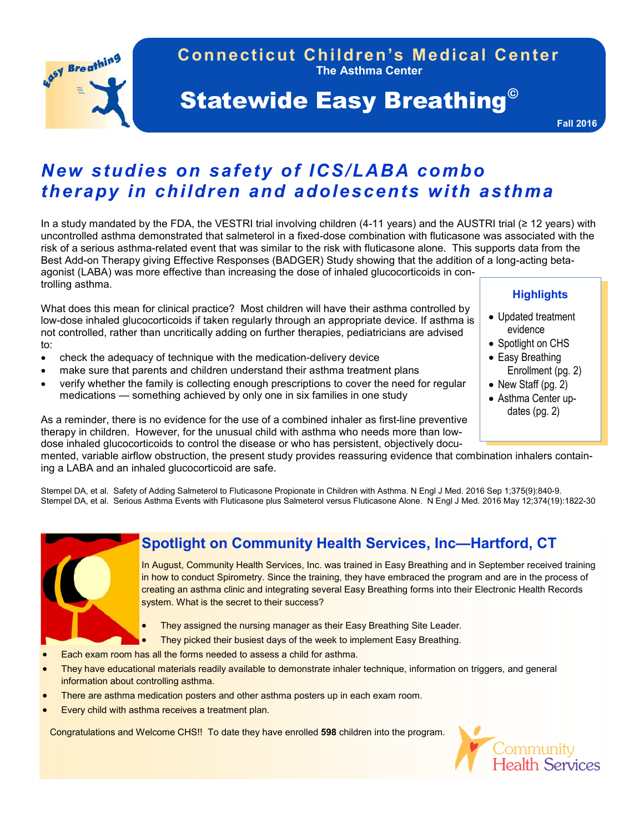**The Asthma Center Connecticut Children's Medical Center**

# **Statewide Easy Breathing<sup>®</sup>**

**Fall 2016**

## *New studies on safety of ICS/LABA combo therapy in children and adolescents with asthma*

In a study mandated by the FDA, the VESTRI trial involving children (4-11 years) and the AUSTRI trial (≥ 12 years) with uncontrolled asthma demonstrated that salmeterol in a fixed-dose combination with fluticasone was associated with the risk of a serious asthma-related event that was similar to the risk with fluticasone alone. This supports data from the Best Add-on Therapy giving Effective Responses (BADGER) Study showing that the addition of a long-acting betaagonist (LABA) was more effective than increasing the dose of inhaled glucocorticoids in controlling asthma.

What does this mean for clinical practice? Most children will have their asthma controlled by low-dose inhaled glucocorticoids if taken regularly through an appropriate device. If asthma is not controlled, rather than uncritically adding on further therapies, pediatricians are advised to:

- check the adequacy of technique with the medication-delivery device
- make sure that parents and children understand their asthma treatment plans
- verify whether the family is collecting enough prescriptions to cover the need for regular medications — something achieved by only one in six families in one study

As a reminder, there is no evidence for the use of a combined inhaler as first-line preventive therapy in children. However, for the unusual child with asthma who needs more than lowdose inhaled glucocorticoids to control the disease or who has persistent, objectively docu-

mented, variable airflow obstruction, the present study provides reassuring evidence that combination inhalers containing a LABA and an inhaled glucocorticoid are safe.

Stempel DA, et al. Safety of Adding Salmeterol to Fluticasone Propionate in Children with Asthma. N Engl J Med. 2016 Sep 1;375(9):840-9. Stempel DA, et al. Serious Asthma Events with Fluticasone plus Salmeterol versus Fluticasone Alone. N Engl J Med. 2016 May 12;374(19):1822-30



## **Spotlight on Community Health Services, Inc—Hartford, CT**

In August, Community Health Services, Inc. was trained in Easy Breathing and in September received training in how to conduct Spirometry. Since the training, they have embraced the program and are in the process of creating an asthma clinic and integrating several Easy Breathing forms into their Electronic Health Records system. What is the secret to their success?

- They assigned the nursing manager as their Easy Breathing Site Leader.
- They picked their busiest days of the week to implement Easy Breathing.
- Each exam room has all the forms needed to assess a child for asthma.
- They have educational materials readily available to demonstrate inhaler technique, information on triggers, and general information about controlling asthma.
- There are asthma medication posters and other asthma posters up in each exam room.
- Every child with asthma receives a treatment plan.

Congratulations and Welcome CHS!! To date they have enrolled **598** children into the program.



## **Highlights**

- Updated treatment evidence
- Spotlight on CHS
- Easy Breathing Enrollment (pg. 2)
- New Staff  $(pq. 2)$
- Asthma Center updates (pg. 2)